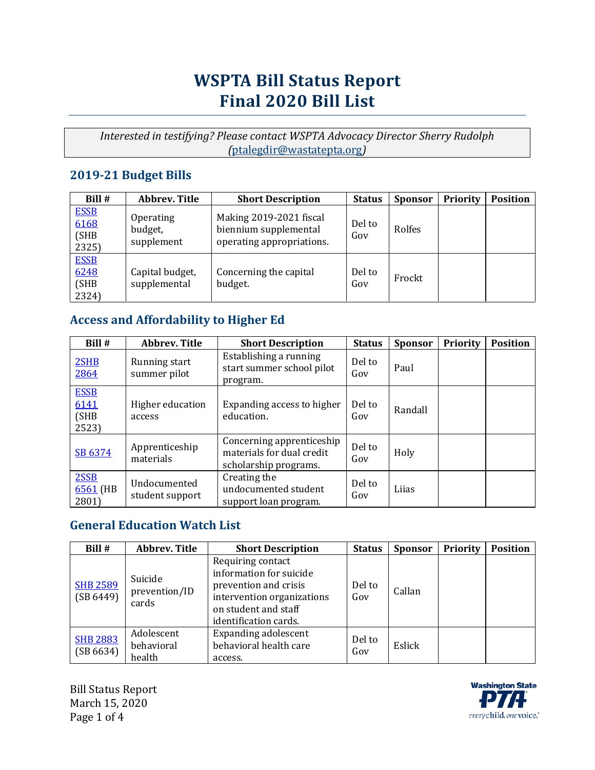# **WSPTA Bill Status Report Final 2020 Bill List**

*Interested in testifying? Please contact WSPTA Advocacy Director Sherry Rudolph (*[ptalegdir@wastatepta.org](mailto:ptalegdir@wastatepta.org)*)*

### **2019-21 Budget Bills**

| Bill #                               | Abbrev. Title                      | <b>Short Description</b>                                                      | <b>Status</b> | <b>Sponsor</b> | <b>Priority</b> | <b>Position</b> |
|--------------------------------------|------------------------------------|-------------------------------------------------------------------------------|---------------|----------------|-----------------|-----------------|
| <b>ESSB</b><br>6168<br>(SHB<br>2325) | Operating<br>budget,<br>supplement | Making 2019-2021 fiscal<br>biennium supplemental<br>operating appropriations. | Del to<br>Gov | Rolfes         |                 |                 |
| <b>ESSB</b><br>6248<br>(SHB<br>2324) | Capital budget,<br>supplemental    | Concerning the capital<br>budget.                                             | Del to<br>Gov | Frockt         |                 |                 |

### **Access and Affordability to Higher Ed**

| Bill #                                | <b>Abbrev. Title</b>            | <b>Short Description</b>                                                        | <b>Status</b> | <b>Sponsor</b> | <b>Priority</b> | <b>Position</b> |
|---------------------------------------|---------------------------------|---------------------------------------------------------------------------------|---------------|----------------|-----------------|-----------------|
| 2SHB<br>2864                          | Running start<br>summer pilot   | Establishing a running<br>start summer school pilot<br>program.                 | Del to<br>Gov | Paul           |                 |                 |
| <b>ESSB</b><br>6141<br>(SHB)<br>2523) | Higher education<br>access      | Expanding access to higher<br>education.                                        | Del to<br>Gov | Randall        |                 |                 |
| SB 6374                               | Apprenticeship<br>materials     | Concerning apprenticeship<br>materials for dual credit<br>scholarship programs. | Del to<br>Gov | Holy           |                 |                 |
| 2SSB<br>$6561$ (HB<br>2801)           | Undocumented<br>student support | Creating the<br>undocumented student<br>support loan program.                   | Del to<br>Gov | Liias          |                 |                 |

### **General Education Watch List**

| Bill #                       | <b>Abbrev. Title</b>               | <b>Short Description</b>                                                                                                                             | <b>Status</b> | <b>Sponsor</b> | <b>Priority</b> | <b>Position</b> |
|------------------------------|------------------------------------|------------------------------------------------------------------------------------------------------------------------------------------------------|---------------|----------------|-----------------|-----------------|
| <b>SHB 2589</b><br>(SB 6449) | Suicide<br>prevention/ID<br>cards  | Requiring contact<br>information for suicide<br>prevention and crisis<br>intervention organizations<br>on student and staff<br>identification cards. | Del to<br>Gov | Callan         |                 |                 |
| <b>SHB 2883</b><br>(SB 6634) | Adolescent<br>behavioral<br>health | <b>Expanding adolescent</b><br>behavioral health care<br>access.                                                                                     | Del to<br>Gov | Eslick         |                 |                 |

Bill Status Report March 15, 2020 Page 1 of 4

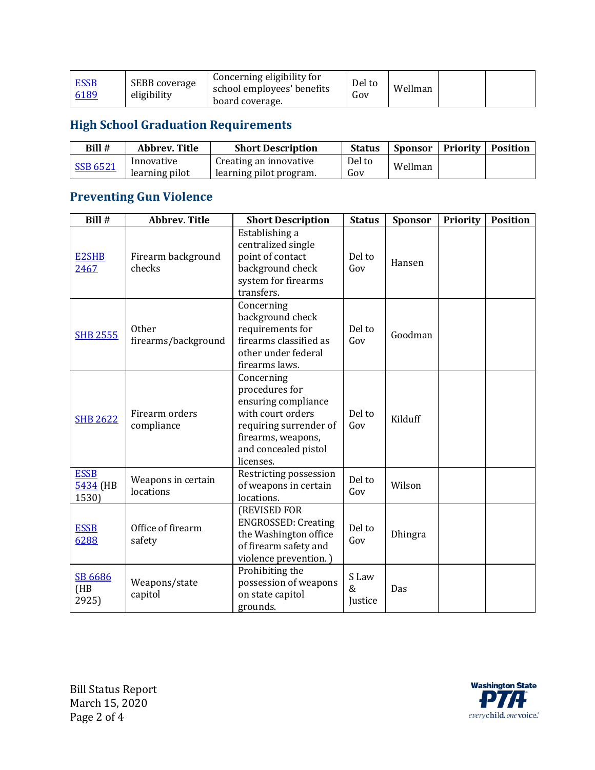### **High School Graduation Requirements**

| Bill #   | Abbrev. Title                | <b>Short Description</b>                          | <b>Status</b> | Sponsor | <b>Priority   Position</b> |  |
|----------|------------------------------|---------------------------------------------------|---------------|---------|----------------------------|--|
| SSB 6521 | Innovative<br>learning pilot | Creating an innovative<br>learning pilot program. | Del to<br>Gov | Wellman |                            |  |

# **Preventing Gun Violence**

| Bill #                           | <b>Abbrev. Title</b>                | <b>Short Description</b>                                                                                                                                      | <b>Status</b>            | <b>Sponsor</b> | <b>Priority</b> | <b>Position</b> |
|----------------------------------|-------------------------------------|---------------------------------------------------------------------------------------------------------------------------------------------------------------|--------------------------|----------------|-----------------|-----------------|
| <b>E2SHB</b><br>2467             | Firearm background<br>checks        | Establishing a<br>centralized single<br>point of contact<br>background check<br>system for firearms<br>transfers.                                             | Del to<br>Gov            | Hansen         |                 |                 |
| <b>SHB 2555</b>                  | <b>Other</b><br>firearms/background | Concerning<br>background check<br>requirements for<br>firearms classified as<br>other under federal<br>firearms laws.                                         | Del to<br>Gov            | Goodman        |                 |                 |
| <b>SHB 2622</b>                  | Firearm orders<br>compliance        | Concerning<br>procedures for<br>ensuring compliance<br>with court orders<br>requiring surrender of<br>firearms, weapons,<br>and concealed pistol<br>licenses. | Del to<br>Gov            | Kilduff        |                 |                 |
| <b>ESSB</b><br>5434 (HB<br>1530) | Weapons in certain<br>locations     | Restricting possession<br>of weapons in certain<br>locations.                                                                                                 | Del to<br>$\rm Gov$      | Wilson         |                 |                 |
| <b>ESSB</b><br>6288              | Office of firearm<br>safety         | (REVISED FOR<br><b>ENGROSSED: Creating</b><br>the Washington office<br>of firearm safety and<br>violence prevention.)                                         | Del to<br>Gov            | Dhingra        |                 |                 |
| SB 6686<br>(HB)<br>2925)         | Weapons/state<br>capitol            | Prohibiting the<br>possession of weapons<br>on state capitol<br>grounds.                                                                                      | S Law<br>$\&$<br>Justice | Das            |                 |                 |

Bill Status Report March 15, 2020 Page 2 of 4

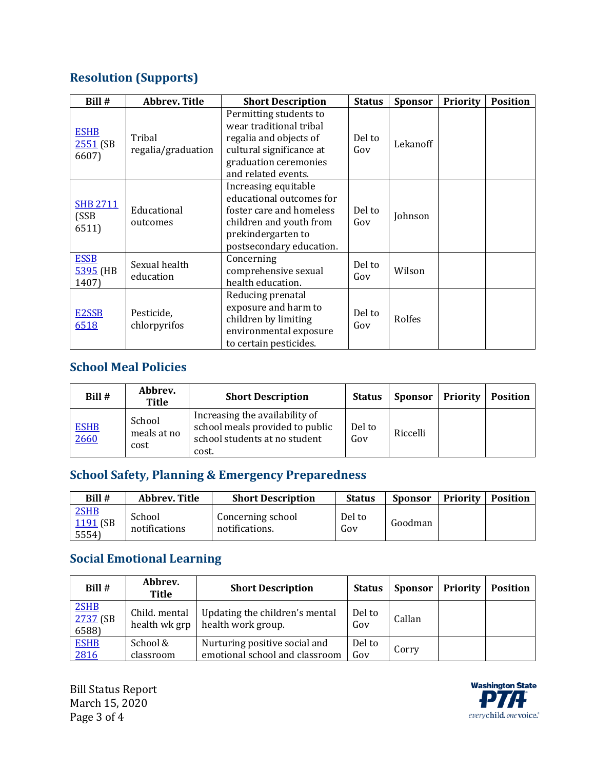### **Resolution (Supports)**

| Bill #                             | <b>Abbrev. Title</b>         | <b>Short Description</b>                                                                                                                                  | <b>Status</b> | <b>Sponsor</b> | <b>Priority</b> | <b>Position</b> |
|------------------------------------|------------------------------|-----------------------------------------------------------------------------------------------------------------------------------------------------------|---------------|----------------|-----------------|-----------------|
| <b>ESHB</b><br>$2551$ (SB<br>6607) | Tribal<br>regalia/graduation | Permitting students to<br>wear traditional tribal<br>regalia and objects of<br>cultural significance at<br>graduation ceremonies<br>and related events.   | Del to<br>Gov | Lekanoff       |                 |                 |
| <b>SHB 2711</b><br>(SSB<br>6511)   | Educational<br>outcomes      | Increasing equitable<br>educational outcomes for<br>foster care and homeless<br>children and youth from<br>prekindergarten to<br>postsecondary education. | Del to<br>Gov | Johnson        |                 |                 |
| <b>ESSB</b><br>5395 (HB<br>1407)   | Sexual health<br>education   | Concerning<br>comprehensive sexual<br>health education.                                                                                                   | Del to<br>Gov | Wilson         |                 |                 |
| E2SSB<br>6518                      | Pesticide,<br>chlorpyrifos   | Reducing prenatal<br>exposure and harm to<br>children by limiting<br>environmental exposure<br>to certain pesticides.                                     | Del to<br>Gov | Rolfes         |                 |                 |

### **School Meal Policies**

| Bill #              | Abbrev.<br>Title              | <b>Short Description</b>                                                                                    | <b>Status</b> | Sponsor  | Priority | <b>Position</b> |
|---------------------|-------------------------------|-------------------------------------------------------------------------------------------------------------|---------------|----------|----------|-----------------|
| <b>ESHB</b><br>2660 | School<br>meals at no<br>cost | Increasing the availability of<br>school meals provided to public<br>school students at no student<br>cost. | Del to<br>Gov | Riccelli |          |                 |

### **School Safety, Planning & Emergency Preparedness**

| Bill #                    | Abbrev. Title           | <b>Short Description</b>            | <b>Status</b> | <b>Sponsor</b> | <b>Priority</b> | <b>Position</b> |
|---------------------------|-------------------------|-------------------------------------|---------------|----------------|-----------------|-----------------|
| 2SHB<br>1191 (SB<br>5554) | School<br>notifications | Concerning school<br>notifications. | Del to<br>Gov | Goodman        |                 |                 |

### **Social Emotional Learning**

| Bill #                    | Abbrev.<br><b>Title</b>        | <b>Short Description</b>                                        | <b>Status</b> | <b>Sponsor</b> | <b>Priority</b> | <b>Position</b> |
|---------------------------|--------------------------------|-----------------------------------------------------------------|---------------|----------------|-----------------|-----------------|
| 2SHB<br>2737 (SB<br>6588) | Child. mental<br>health wk grp | Updating the children's mental<br>health work group.            | Del to<br>Gov | Callan         |                 |                 |
| <b>ESHB</b><br>2816       | School &<br>classroom          | Nurturing positive social and<br>emotional school and classroom | Del to<br>Gov | Corry          |                 |                 |

Bill Status Report March 15, 2020 Page 3 of 4